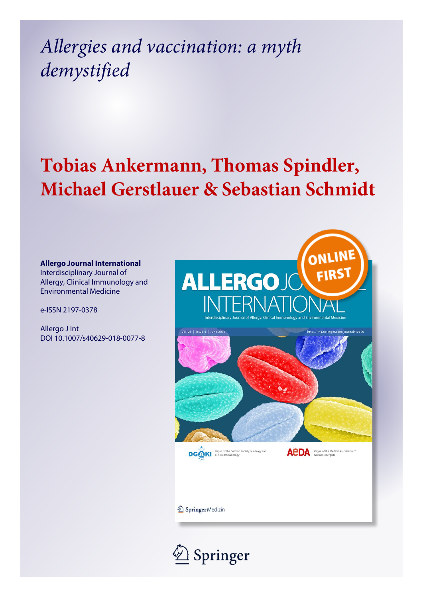*Allergies and vaccination: a myth demystified*

# **Tobias Ankermann, Thomas Spindler, Michael Gerstlauer & Sebastian Schmidt**

# **Allergo Journal International**

Interdisciplinary Journal of Allergy, Clinical Immunology and Environmental Medicine

e-ISSN 2197-0378

Allergo J Int DOI 10.1007/s40629-018-0077-8



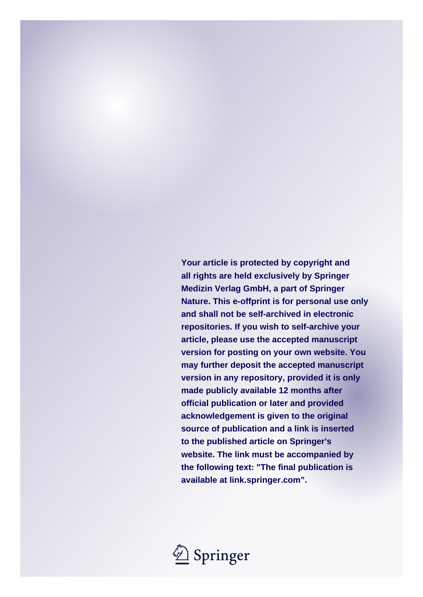**Your article is protected by copyright and all rights are held exclusively by Springer Medizin Verlag GmbH, a part of Springer Nature. This e-offprint is for personal use only and shall not be self-archived in electronic repositories. If you wish to self-archive your article, please use the accepted manuscript version for posting on your own website. You may further deposit the accepted manuscript version in any repository, provided it is only made publicly available 12 months after official publication or later and provided acknowledgement is given to the original source of publication and a link is inserted to the published article on Springer's website. The link must be accompanied by the following text: "The final publication is available at link.springer.com".**

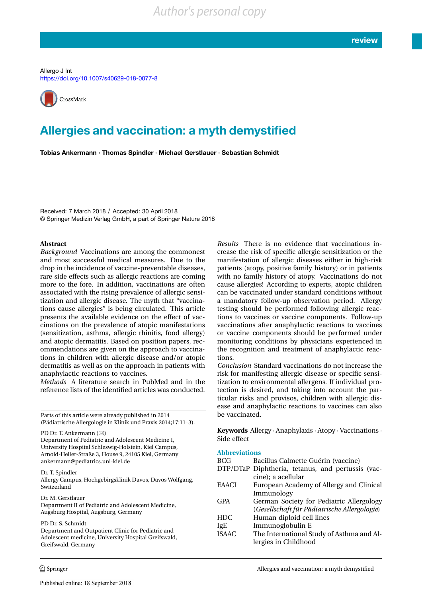Allergo J Int <https://doi.org/10.1007/s40629-018-0077-8>



# **Allergies and vaccination: a myth demystified**

**Tobias Ankermann · Thomas Spindler · Michael Gerstlauer · Sebastian Schmidt**

Received: 7 March 2018 / Accepted: 30 April 2018 © Springer Medizin Verlag GmbH, a part of Springer Nature 2018

#### **Abstract**

*Background* Vaccinations are among the commonest and most successful medical measures. Due to the drop in the incidence of vaccine-preventable diseases, rare side effects such as allergic reactions are coming more to the fore. In addition, vaccinations are often associated with the rising prevalence of allergic sensitization and allergic disease. The myth that "vaccinations cause allergies" is being circulated. This article presents the available evidence on the effect of vaccinations on the prevalence of atopic manifestations (sensitization, asthma, allergic rhinitis, food allergy) and atopic dermatitis. Based on position papers, recommendations are given on the approach to vaccinations in children with allergic disease and/or atopic dermatitis as well as on the approach in patients with anaphylactic reactions to vaccines.

*Methods* A literature search in PubMed and in the reference lists of the identified articles was conducted.

| Parts of this article were already published in 2014<br>(Pädiatrische Allergologie in Klinik und Praxis 2014;17:11-3).                                                                                                                        |
|-----------------------------------------------------------------------------------------------------------------------------------------------------------------------------------------------------------------------------------------------|
| PD Dr. T. Ankermann ( $\boxtimes$ )<br>Department of Pediatric and Adolescent Medicine I,<br>University Hospital Schleswig-Holstein, Kiel Campus,<br>Arnold-Heller-Straße 3, House 9, 24105 Kiel, Germany<br>ankermann@pediatrics.uni-kiel.de |
| Dr. T. Spindler<br>Allergy Campus, Hochgebirgsklinik Davos, Davos Wolfgang,<br>Switzerland                                                                                                                                                    |
| Dr. M. Gerstlauer<br>Department II of Pediatric and Adolescent Medicine,<br>Augsburg Hospital, Augsburg, Germany                                                                                                                              |
| PD Dr. S. Schmidt<br>Department and Outpatient Clinic for Pediatric and<br>Adolescent medicine, University Hospital Greifswald,                                                                                                               |

*Results* There is no evidence that vaccinations increase the risk of specific allergic sensitization or the manifestation of allergic diseases either in high-risk patients (atopy, positive family history) or in patients with no family history of atopy. Vaccinations do not cause allergies! According to experts, atopic children can be vaccinated under standard conditions without a mandatory follow-up observation period. Allergy testing should be performed following allergic reactions to vaccines or vaccine components. Follow-up vaccinations after anaphylactic reactions to vaccines or vaccine components should be performed under monitoring conditions by physicians experienced in the recognition and treatment of anaphylactic reactions.

*Conclusion* Standard vaccinations do not increase the risk for manifesting allergic disease or specific sensitization to environmental allergens. If individual protection is desired, and taking into account the particular risks and provisos, children with allergic disease and anaphylactic reactions to vaccines can also be vaccinated.

**Keywords** Allergy · Anaphylaxis · Atopy · Vaccinations · Side effect

| <b>Abbreviations</b> |                                                   |  |  |
|----------------------|---------------------------------------------------|--|--|
| <b>BCG</b>           | Bacillus Calmette Guérin (vaccine)                |  |  |
|                      | DTP/DTaP Diphtheria, tetanus, and pertussis (vac- |  |  |
|                      | cine); a acellular                                |  |  |
| EAACI                | European Academy of Allergy and Clinical          |  |  |
|                      | Immunology                                        |  |  |
| <b>GPA</b>           | German Society for Pediatric Allergology          |  |  |
|                      | (Gesellschaft für Pädiatrische Allergologie)      |  |  |
| <b>HDC</b>           | Human diploid cell lines                          |  |  |
| IgE                  | Immunoglobulin E                                  |  |  |
| <b>ISAAC</b>         | The International Study of Asthma and Al-         |  |  |

lergies in Childhood

Greifswald, Germany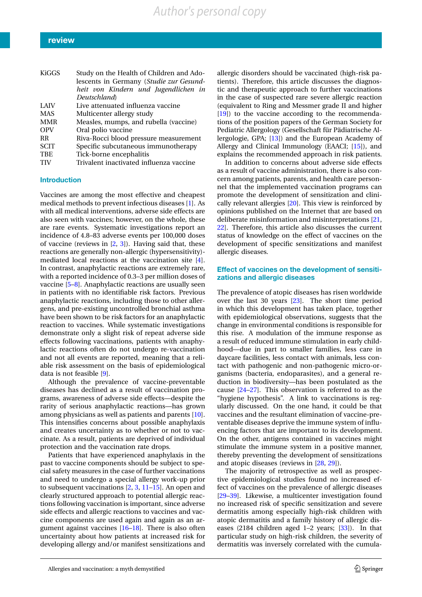| KiGGS       | Study on the Health of Children and Ado- |
|-------------|------------------------------------------|
|             | lescents in Germany (Studie zur Gesund-  |
|             | heit von Kindern und Jugendlichen in     |
|             | Deutschland                              |
| LAIV        | Live attenuated influenza vaccine        |
| <b>MAS</b>  | Multicenter allergy study                |
| <b>MMR</b>  | Measles, mumps, and rubella (vaccine)    |
| <b>OPV</b>  | Oral polio vaccine                       |
| <b>RR</b>   | Riva-Rocci blood pressure measurement    |
| <b>SCIT</b> | Specific subcutaneous immunotherapy      |
| <b>TBE</b>  | Tick-borne encephalitis                  |
| <b>TIV</b>  | Trivalent inactivated influenza vaccine  |

#### **Introduction**

Vaccines are among the most effective and cheapest medical methods to prevent infectious diseases [\[1\]](#page-9-0). As with all medical interventions, adverse side effects are also seen with vaccines; however, on the whole, these are rare events. Systematic investigations report an incidence of 4.8–83 adverse events per 100,000 doses of vaccine (reviews in [\[2,](#page-9-1) [3\]](#page-9-2)). Having said that, these reactions are generally non-allergic (hypersensitivity) mediated local reactions at the vaccination site [\[4\]](#page-9-3). In contrast, anaphylactic reactions are extremely rare, with a reported incidence of 0.3–3 per million doses of vaccine [\[5–](#page-9-4)[8\]](#page-9-5). Anaphylactic reactions are usually seen in patients with no identifiable risk factors. Previous anaphylactic reactions, including those to other allergens, and pre-existing uncontrolled bronchial asthma have been shown to be risk factors for an anaphylactic reaction to vaccines. While systematic investigations demonstrate only a slight risk of repeat adverse side effects following vaccinations, patients with anaphylactic reactions often do not undergo re-vaccination and not all events are reported, meaning that a reliable risk assessment on the basis of epidemiological data is not feasible [\[9\]](#page-9-6).

Although the prevalence of vaccine-preventable diseases has declined as a result of vaccination programs, awareness of adverse side effects—despite the rarity of serious anaphylactic reactions—has grown among physicians as well as patients and parents [\[10\]](#page-9-7). This intensifies concerns about possible anaphylaxis and creates uncertainty as to whether or not to vaccinate. As a result, patients are deprived of individual protection and the vaccination rate drops.

Patients that have experienced anaphylaxis in the past to vaccine components should be subject to special safety measures in the case of further vaccinations and need to undergo a special allergy work-up prior to subsequent vaccinations [\[2,](#page-9-1) [3,](#page-9-2) [11](#page-9-8)[–15\]](#page-9-9). An open and clearly structured approach to potential allergic reactions following vaccination is important, since adverse side effects and allergic reactions to vaccines and vaccine components are used again and again as an argument against vaccines [\[16](#page-9-10)[–18\]](#page-9-11). There is also often uncertainty about how patients at increased risk for developing allergy and/or manifest sensitizations and allergic disorders should be vaccinated (high-risk patients). Therefore, this article discusses the diagnostic and therapeutic approach to further vaccinations in the case of suspected rare severe allergic reaction (equivalent to Ring and Messmer grade II and higher [\[19\]](#page-9-12)) to the vaccine according to the recommendations of the position papers of the German Society for Pediatric Allergology (Gesellschaft für Pädiatrische Allergologie, GPA; [\[13\]](#page-9-13)) and the European Academy of Allergy and Clinical Immunology (EAACI; [\[15\]](#page-9-9)), and explains the recommended approach in risk patients.

In addition to concerns about adverse side effects as a result of vaccine administration, there is also concern among patients, parents, and health care personnel that the implemented vaccination programs can promote the development of sensitization and clinically relevant allergies [\[20\]](#page-10-0). This view is reinforced by opinions published on the Internet that are based on deliberate misinformation and misinterpretations [\[21,](#page-10-1) [22\]](#page-10-2). Therefore, this article also discusses the current status of knowledge on the effect of vaccines on the development of specific sensitizations and manifest allergic diseases.

### **Effect of vaccines on the development of sensitizations and allergic diseases**

The prevalence of atopic diseases has risen worldwide over the last 30 years [\[23\]](#page-10-3). The short time period in which this development has taken place, together with epidemiological observations, suggests that the change in environmental conditions is responsible for this rise. A modulation of the immune response as a result of reduced immune stimulation in early childhood—due in part to smaller families, less care in daycare facilities, less contact with animals, less contact with pathogenic and non-pathogenic micro-organisms (bacteria, endoparasites), and a general reduction in biodiversity—has been postulated as the cause [\[24–](#page-10-4)[27\]](#page-10-5). This observation is referred to as the "hygiene hypothesis". A link to vaccinations is regularly discussed. On the one hand, it could be that vaccines and the resultant elimination of vaccine-preventable diseases deprive the immune system of influencing factors that are important to its development. On the other, antigens contained in vaccines might stimulate the immune system in a positive manner, thereby preventing the development of sensitizations and atopic diseases (reviews in [\[28,](#page-10-6) [29\]](#page-10-7)).

The majority of retrospective as well as prospective epidemiological studies found no increased effect of vaccines on the prevalence of allergic diseases [\[29](#page-10-7)[–39\]](#page-10-8). Likewise, a multicenter investigation found no increased risk of specific sensitization and severe dermatitis among especially high-risk children with atopic dermatitis and a family history of allergic diseases (2184 children aged 1–2 years; [\[33\]](#page-10-9)). In that particular study on high-risk children, the severity of dermatitis was inversely correlated with the cumula-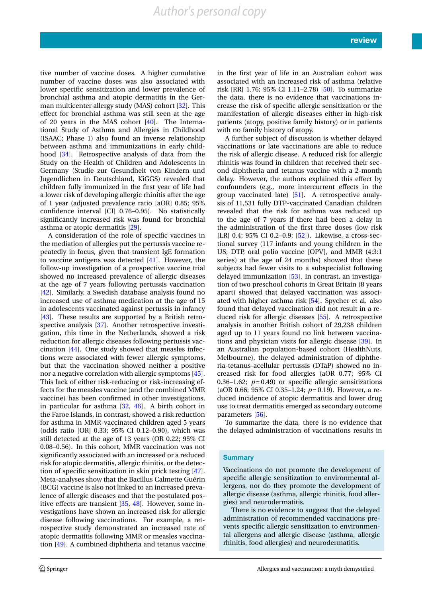tive number of vaccine doses. A higher cumulative number of vaccine doses was also associated with lower specific sensitization and lower prevalence of bronchial asthma and atopic dermatitis in the German multicenter allergy study (MAS) cohort [\[32\]](#page-10-10). This effect for bronchial asthma was still seen at the age of 20 years in the MAS cohort [\[40\]](#page-10-11). The International Study of Asthma and Allergies in Childhood (ISAAC; Phase 1) also found an inverse relationship between asthma and immunizations in early childhood [\[34\]](#page-10-12). Retrospective analysis of data from the Study on the Health of Children and Adolescents in Germany (Studie zur Gesundheit von Kindern und Jugendlichen in Deutschland, KiGGS) revealed that children fully immunized in the first year of life had a lower risk of developing allergic rhinitis after the age of 1 year (adjusted prevalence ratio [aOR] 0.85; 95% confidence interval [CI] 0.76–0.95). No statistically significantly increased risk was found for bronchial asthma or atopic dermatitis [\[29\]](#page-10-7).

A consideration of the role of specific vaccines in the mediation of allergies put the pertussis vaccine repeatedly in focus, given that transient IgE formation to vaccine antigens was detected [\[41\]](#page-10-13). However, the follow-up investigation of a prospective vaccine trial showed no increased prevalence of allergic diseases at the age of 7 years following pertussis vaccination [\[42\]](#page-10-14). Similarly, a Swedish database analysis found no increased use of asthma medication at the age of 15 in adolescents vaccinated against pertussis in infancy [\[43\]](#page-10-15). These results are supported by a British retrospective analysis [\[37\]](#page-10-16). Another retrospective investigation, this time in the Netherlands, showed a risk reduction for allergic diseases following pertussis vaccination [\[44\]](#page-10-17). One study showed that measles infections were associated with fewer allergic symptoms, but that the vaccination showed neither a positive nor a negative correlation with allergic symptoms [\[45\]](#page-10-18). This lack of either risk-reducing or risk-increasing effects for the measles vaccine (and the combined MMR vaccine) has been confirmed in other investigations, in particular for asthma [\[32,](#page-10-10) [46\]](#page-10-19). A birth cohort in the Faroe Islands, in contrast, showed a risk reduction for asthma in MMR-vaccinated children aged 5 years (odds ratio [OR] 0.33; 95% CI 0.12–0.90), which was still detected at the age of 13 years (OR 0.22; 95% CI 0.08–0.56). In this cohort, MMR vaccination was not significantly associated with an increased or a reduced risk for atopic dermatitis, allergic rhinitis, or the detection of specific sensitization in skin prick testing [\[47\]](#page-10-20). Meta-analyses show that the Bacillus Calmette Guérin (BCG) vaccine is also not linked to an increased prevalence of allergic diseases and that the postulated positive effects are transient [\[35,](#page-10-21) [48\]](#page-10-22). However, some investigations have shown an increased risk for allergic disease following vaccinations. For example, a retrospective study demonstrated an increased rate of atopic dermatitis following MMR or measles vaccination [\[49\]](#page-10-23). A combined diphtheria and tetanus vaccine

in the first year of life in an Australian cohort was associated with an increased risk of asthma (relative risk [RR] 1.76; 95% CI 1.11–2.78) [\[50\]](#page-10-24). To summarize the data, there is no evidence that vaccinations increase the risk of specific allergic sensitization or the manifestation of allergic diseases either in high-risk patients (atopy, positive family history) or in patients with no family history of atopy.

A further subject of discussion is whether delayed vaccinations or late vaccinations are able to reduce the risk of allergic disease. A reduced risk for allergic rhinitis was found in children that received their second diphtheria and tetanus vaccine with a 2-month delay. However, the authors explained this effect by confounders (e.g., more intercurrent effects in the group vaccinated late) [\[51\]](#page-10-25). A retrospective analysis of 11,531 fully DTP-vaccinated Canadian children revealed that the risk for asthma was reduced up to the age of 7 years if there had been a delay in the administration of the first three doses (low risk [LR] 0.4; 95% CI 0.2-0.9; [\[52\]](#page-10-26)). Likewise, a cross-sectional survey (117 infants and young children in the US; DTP, oral polio vaccine [OPV], and MMR (4:3:1 series) at the age of 24 months) showed that these subjects had fewer visits to a subspecialist following delayed immunization [\[53\]](#page-10-27). In contrast, an investigation of two preschool cohorts in Great Britain (8 years apart) showed that delayed vaccination was associated with higher asthma risk [\[54\]](#page-10-28). Spycher et al. also found that delayed vaccination did not result in a reduced risk for allergic diseases [\[55\]](#page-10-29). A retrospective analysis in another British cohort of 29,238 children aged up to 11 years found no link between vaccinations and physician visits for allergic disease [\[39\]](#page-10-8). In an Australian population-based cohort (HealthNuts, Melbourne), the delayed administration of diphtheria-tetanus-acellular pertussis (DTaP) showed no increased risk for food allergies (aOR 0.77; 95% CI 0.36–1.62;  $p=0.49$ ) or specific allergic sensitizations (aOR 0.66; 95% CI 0.35–1.24; *p*= 0.19). However, a reduced incidence of atopic dermatitis and lower drug use to treat dermatitis emerged as secondary outcome parameters [\[56\]](#page-10-30).

To summarize the data, there is no evidence that the delayed administration of vaccinations results in

#### **Summary**

Vaccinations do not promote the development of specific allergic sensitization to environmental allergens, nor do they promote the development of allergic disease (asthma, allergic rhinitis, food allergies) and neurodermatitis.

There is no evidence to suggest that the delayed administration of recommended vaccinations prevents specific allergic sensitization to environmental allergens and allergic disease (asthma, allergic rhinitis, food allergies) and neurodermatitis.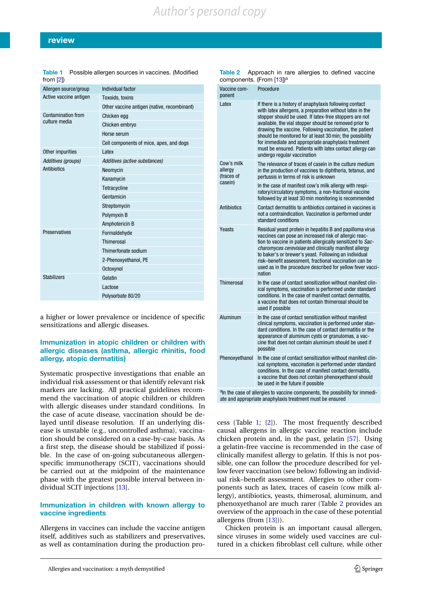<span id="page-5-0"></span>

| Allergen source/group     | Individual factor                           |
|---------------------------|---------------------------------------------|
| Active vaccine antigen    | Toxoids, toxins                             |
|                           | Other vaccine antigen (native, recombinant) |
| <b>Contamination from</b> | Chicken egg                                 |
| culture media             | Chicken embryo                              |
|                           | Horse serum                                 |
|                           | Cell components of mice, apes, and dogs     |
| Other impurities          | Latex                                       |
| Additives (groups)        | Additives (active substances)               |
| Antibiotics               | Neomycin                                    |
|                           | Kanamycin                                   |
|                           | Tetracycline                                |
|                           | Gentamicin                                  |
|                           | Streptomycin                                |
|                           | Polymyxin B                                 |
|                           | Amphotericin B                              |
| Preservatives             | Formaldehyde                                |
|                           | Thimerosal                                  |
|                           | Thimerfonate sodium                         |
|                           | 2-Phenoxyethanol, PE                        |
|                           | Octoxynol                                   |
| <b>Stabilizers</b>        | Gelatin                                     |
|                           | Lactose                                     |
|                           | Polysorbate 80/20                           |

**Table 1** Possible allergen sources in vaccines. (Modified from [\[2\]](#page-9-1))

a higher or lower prevalence or incidence of specific sensitizations and allergic diseases.

# **Immunization in atopic children or children with allergic diseases (asthma, allergic rhinitis, food allergy, atopic dermatitis)**

Systematic prospective investigations that enable an individual risk assessment or that identify relevant risk markers are lacking. All practical guidelines recommend the vaccination of atopic children or children with allergic diseases under standard conditions. In the case of acute disease, vaccination should be delayed until disease resolution. If an underlying disease is unstable (e.g., uncontrolled asthma), vaccination should be considered on a case-by-case basis. As a first step, the disease should be stabilized if possible. In the case of on-going subcutaneous allergenspecific immunotherapy (SCIT), vaccinations should be carried out at the midpoint of the maintenance phase with the greatest possible interval between individual SCIT injections [\[13\]](#page-9-13).

# **Immunization in children with known allergy to vaccine ingredients**

Allergens in vaccines can include the vaccine antigen itself, additives such as stabilizers and preservatives, as well as contamination during the production pro-

<span id="page-5-1"></span>

|  | Table 2<br>components. (From [13]) <sup>a</sup> | Approach in rare allergies to defined vaccine                                                                                                                                                                                                                                                                                                                                                                                                                                                                   |
|--|-------------------------------------------------|-----------------------------------------------------------------------------------------------------------------------------------------------------------------------------------------------------------------------------------------------------------------------------------------------------------------------------------------------------------------------------------------------------------------------------------------------------------------------------------------------------------------|
|  | Vaccine com-<br>ponent                          | Procedure                                                                                                                                                                                                                                                                                                                                                                                                                                                                                                       |
|  | Latex                                           | If there is a history of anaphylaxis following contact<br>with latex allergens, a preparation without latex in the<br>stopper should be used. If latex-free stoppers are not<br>available, the vial stopper should be removed prior to<br>drawing the vaccine. Following vaccination, the patient<br>should be monitored for at least 30 min; the possibility<br>for immediate and appropriate anaphylaxis treatment<br>must be ensured. Patients with latex contact allergy can<br>undergo regular vaccination |
|  | Cow's milk<br>allergy<br>(traces of<br>casein)  | The relevance of traces of casein in the culture medium<br>in the production of vaccines to diphtheria, tetanus, and<br>pertussis in terms of risk is unknown                                                                                                                                                                                                                                                                                                                                                   |
|  |                                                 | In the case of manifest cow's milk allergy with respi-<br>ratory/circulatory symptoms, a non-fractional vaccine<br>followed by at least 30 min monitoring is recommended                                                                                                                                                                                                                                                                                                                                        |
|  | Antibiotics                                     | Contact dermatitis to antibiotics contained in vaccines is<br>not a contraindication. Vaccination is performed under<br>standard conditions                                                                                                                                                                                                                                                                                                                                                                     |
|  | Yeasts                                          | Residual yeast protein in hepatitis B and papilloma virus<br>vaccines can pose an increased risk of allergic reac-<br>tion to vaccine in patients allergically sensitized to Sac-<br>charomyces cerevisiae and clinically manifest allergy<br>to baker's or brewer's yeast. Following an individual<br>risk-benefit assessment, fractional vaccination can be<br>used as in the procedure described for yellow fever vacci-<br>nation                                                                           |
|  | Thimerosal                                      | In the case of contact sensitization without manifest clin-<br>ical symptoms, vaccination is performed under standard<br>conditions. In the case of manifest contact dermatitis,<br>a vaccine that does not contain thimerosal should be<br>used if possible                                                                                                                                                                                                                                                    |
|  | Aluminum                                        | In the case of contact sensitization without manifest<br>clinical symptoms, vaccination is performed under stan-<br>dard conditions. In the case of contact dermatitis or the<br>appearance of aluminum cysts or granulomas, a vac-<br>cine that does not contain aluminum should be used if<br>possible                                                                                                                                                                                                        |
|  | Phenoxyethanol                                  | In the case of contact sensitization without manifest clin-<br>ical symptoms, vaccination is performed under standard<br>conditions. In the case of manifest contact dermatitis,<br>a vaccine that does not contain phenoxyethanol should<br>be used in the future if possible                                                                                                                                                                                                                                  |
|  |                                                 | aln the case of allergies to vaccine components, the possibility for immedi-                                                                                                                                                                                                                                                                                                                                                                                                                                    |

ate and appropriate anaphylaxis treatment must be ensured

cess (Table [1;](#page-5-0) [\[2\]](#page-9-1)). The most frequently described causal allergens in allergic vaccine reaction include chicken protein and, in the past, gelatin [\[57\]](#page-10-31). Using a gelatin-free vaccine is recommended in the case of clinically manifest allergy to gelatin. If this is not possible, one can follow the procedure described for yellow fever vaccination (see below) following an individual risk–benefit assessment. Allergies to other components such as latex, traces of casein (cow milk allergy), antibiotics, yeasts, thimerosal, aluminum, and phenoxyethanol are much rarer (Table [2](#page-5-1) provides an overview of the approach in the case of these potential allergens (from [\[13\]](#page-9-13))).

Chicken protein is an important causal allergen, since viruses in some widely used vaccines are cultured in a chicken fibroblast cell culture, while other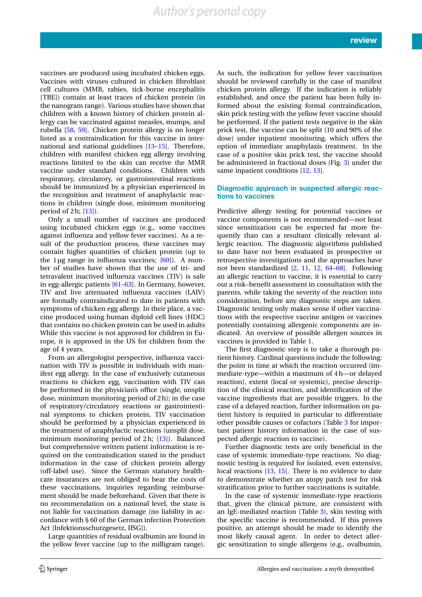vaccines are produced using incubated chicken eggs. Vaccines with viruses cultured in chicken fibroblast cell cultures (MMR, rabies, tick-borne encephalitis [TBE]) contain at least traces of chicken protein (in the nanogram range). Various studies have shown that children with a known history of chicken protein allergy can be vaccinated against measles, mumps, and rubella [\[58,](#page-11-0) [59\]](#page-11-1). Chicken protein allergy is no longer listed as a contraindication for this vaccine in international and national guidelines [\[13–](#page-9-13)[15\]](#page-9-9). Therefore, children with manifest chicken egg allergy involving reactions limited to the skin can receive the MMR vaccine under standard conditions. Children with respiratory, circulatory, or gastrointestinal reactions should be immunized by a physician experienced in the recognition and treatment of anaphylactic reactions in children (single dose, minimum monitoring period of  $2 h$ ;  $[13]$ ).

Only a small number of vaccines are produced using incubated chicken eggs (e. g., some vaccines against influenza and yellow fever vaccines). As a result of the production process, these vaccines may contain higher quantities of chicken protein (up to the 1 µg range in influenza vaccines;  $[60]$ ). A number of studies have shown that the use of tri- and tetravalent inactived influenza vaccines (TIV) is safe in egg-allergic patients [\[61–](#page-11-3)[63\]](#page-11-4). In Germany, however, TIV and live attenuated influenza vaccines (LAIV) are formally contraindicated to date in patients with symptoms of chicken egg allergy. In their place, a vaccine produced using human diploid cell lines (HDC) that contains no chicken protein can be used in adults While this vaccine is not approved for children in Europe, it is approved in the US for children from the age of 4 years.

From an allergologist perspective, influenza vaccination with TIV is possible in individuals with manifest egg allergy. In the case of exclusively cutaneous reactions to chicken egg, vaccination with TIV can be performed in the physician's office (single, unsplit dose, minimum monitoring period of 2 h); in the case of respiratory/circulatory reactions or gastrointestinal symptoms to chicken protein, TIV vaccination should be performed by a physician experienced in the treatment of anaphylactic reactions (unsplit dose, minimum monitoring period of  $2h$ ;  $[13]$ ). Balanced but comprehensive written patient information is required on the contraindication stated in the product information in the case of chicken protein allergy (off-label use). Since the German statutory healthcare insurances are not obliged to bear the costs of these vaccinations, inquiries regarding reimbursement should be made beforehand. Given that there is no recommendation on a national level, the state is not liable for vaccination damage (no liability in accordance with § 60 of the German infection Protection Act [Infektionsschutzgesetz, IfSG]).

Large quantities of residual ovalbumin are found in the yellow fever vaccine (up to the milligram range). As such, the indication for yellow fever vaccination should be reviewed carefully in the case of manifest chicken protein allergy. If the indication is reliably established, and once the patient has been fully informed about the existing formal contraindication, skin prick testing with the yellow fever vaccine should be performed. If the patient tests negative in the skin prick test, the vaccine can be split (10 and 90% of the dose) under inpatient monitoring, which offers the option of immediate anaphylaxis treatment. In the case of a positive skin prick test, the vaccine should be administered in fractional doses (Fig. [3\)](#page-8-0) under the same inpatient conditions [\[12,](#page-9-14) [13\]](#page-9-13).

#### **Diagnostic approach in suspected allergic reactions to vaccines**

Predictive allergy testing for potential vaccines or vaccine components is not recommended—not least since sensitization can be expected far more frequently than can a resultant clinically relevant allergic reaction. The diagnostic algorithms published to date have not been evaluated in prospective or retrospective investigations and the approaches have not been standardized [\[2,](#page-9-1) [11,](#page-9-8) [12,](#page-9-14) [64–](#page-11-5)[68\]](#page-11-6). Following an allergic reaction to vaccine, it is essential to carry out a risk–benefit assessment in consultation with the parents, while taking the severity of the reaction into consideration, before any diagnostic steps are taken. Diagnostic testing only makes sense if other vaccinations with the respective vaccine antigen or vaccines potentially containing allergenic components are indicated. An overview of possible allergen sources in vaccines is provided in Table [1.](#page-5-0)

The first diagnostic step is to take a thorough patient history. Cardinal questions include the following: the point in time at which the reaction occurred (immediate-type—within a maximum of 4 h—or delayed reaction), extent (local or systemic), precise description of the clinical reaction, and identification of the vaccine ingredients that are possible triggers. In the case of a delayed reaction, further information on patient history is required in particular to differentiate other possible causes or cofactors (Table [3](#page-7-0) for important patient history information in the case of suspected allergic reaction to vaccine).

Further diagnostic tests are only beneficial in the case of systemic immediate-type reactions. No diagnostic testing is required for isolated, even extensive, local reactions [\[13,](#page-9-13) [15\]](#page-9-9). There is no evidence to date to demonstrate whether an atopy patch test for risk stratification prior to further vaccinations is suitable.

In the case of systemic immediate-type reactions that, given the clinical picture, are consistent with an IgE-mediated reaction (Table [3\)](#page-7-0), skin testing with the specific vaccine is recommended. If this proves positive, an attempt should be made to identify the most likely causal agent. In order to detect allergic sensitization to single allergens (e.g., ovalbumin,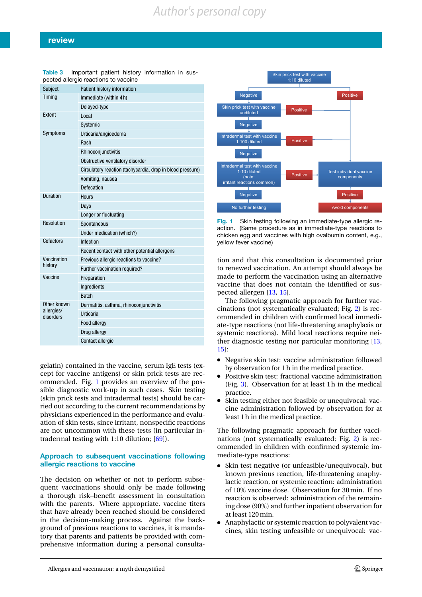<span id="page-7-0"></span>

| Subject                 | Patient history information                                |  |  |  |  |
|-------------------------|------------------------------------------------------------|--|--|--|--|
| Timing                  | Immediate (within 4h)                                      |  |  |  |  |
|                         | Delayed-type                                               |  |  |  |  |
| Extent                  | Local                                                      |  |  |  |  |
|                         | Systemic                                                   |  |  |  |  |
| Symptoms                | Urticaria/angioedema                                       |  |  |  |  |
|                         | Rash                                                       |  |  |  |  |
|                         | Rhinoconjunctivitis                                        |  |  |  |  |
|                         | Obstructive ventilatory disorder                           |  |  |  |  |
|                         | Circulatory reaction (tachycardia, drop in blood pressure) |  |  |  |  |
|                         | Vomiting, nausea                                           |  |  |  |  |
|                         | Defecation                                                 |  |  |  |  |
| <b>Duration</b>         | <b>Hours</b>                                               |  |  |  |  |
|                         | Days                                                       |  |  |  |  |
|                         | Longer or fluctuating                                      |  |  |  |  |
| Resolution              | Spontaneous                                                |  |  |  |  |
|                         | Under medication (which?)                                  |  |  |  |  |
| Cofactors               | Infection                                                  |  |  |  |  |
|                         | Recent contact with other potential allergens              |  |  |  |  |
| Vaccination             | Previous allergic reactions to vaccine?                    |  |  |  |  |
| history                 | Further vaccination required?                              |  |  |  |  |
| Vaccine                 | Preparation                                                |  |  |  |  |
|                         | Ingredients                                                |  |  |  |  |
|                         | <b>Batch</b>                                               |  |  |  |  |
| Other known             | Dermatitis, asthma, rhinoconjunctivitis                    |  |  |  |  |
| allergies/<br>disorders | Urticaria                                                  |  |  |  |  |
|                         | Food allergy                                               |  |  |  |  |
|                         | Drug allergy                                               |  |  |  |  |
|                         | <b>Contact allergic</b>                                    |  |  |  |  |

**Table 3** Important patient history information in suspected allergic reactions to vaccine

gelatin) contained in the vaccine, serum IgE tests (except for vaccine antigens) or skin prick tests are recommended. Fig. [1](#page-7-1) provides an overview of the possible diagnostic work-up in such cases. Skin testing (skin prick tests and intradermal tests) should be carried out according to the current recommendations by physicians experienced in the performance and evaluation of skin tests, since irritant, nonspecific reactions are not uncommon with these tests (in particular intradermal testing with 1:10 dilution; [\[69\]](#page-11-7)).

# **Approach to subsequent vaccinations following allergic reactions to vaccine**

The decision on whether or not to perform subsequent vaccinations should only be made following a thorough risk–benefit assessment in consultation with the parents. Where appropriate, vaccine titers that have already been reached should be considered in the decision-making process. Against the background of previous reactions to vaccines, it is mandatory that parents and patients be provided with comprehensive information during a personal consulta-



<span id="page-7-1"></span>**Fig. 1** Skin testing following an immediate-type allergic reaction. (Same procedure as in immediate-type reactions to chicken egg and vaccines with high ovalbumin content, e.g., yellow fever vaccine)

tion and that this consultation is documented prior to renewed vaccination. An attempt should always be made to perform the vaccination using an alternative vaccine that does not contain the identified or suspected allergen [\[13,](#page-9-13) [15\]](#page-9-9).

The following pragmatic approach for further vaccinations (not systematically evaluated; Fig. [2\)](#page-8-1) is recommended in children with confirmed local immediate-type reactions (not life-threatening anaphylaxis or systemic reactions). Mild local reactions require neither diagnostic testing nor particular monitoring [\[13,](#page-9-13) [15\]](#page-9-9):

- Negative skin test: vaccine administration followed by observation for 1 h in the medical practice.
- Positive skin test: fractional vaccine administration (Fig. [3\)](#page-8-0). Observation for at least 1 h in the medical practice.
- Skin testing either not feasible or unequivocal: vaccine administration followed by observation for at least 1 h in the medical practice.

The following pragmatic approach for further vaccinations (not systematically evaluated; Fig. [2\)](#page-8-1) is recommended in children with confirmed systemic immediate-type reactions:

- Skin test negative (or unfeasible/unequivocal), but known previous reaction, life-threatening anaphylactic reaction, or systemic reaction: administration of 10% vaccine dose. Observation for 30min. If no reaction is observed: administration of the remaining dose (90%) and further inpatient observation for at least 120min.
- Anaphylactic or systemic reaction to polyvalent vaccines, skin testing unfeasible or unequivocal: vac-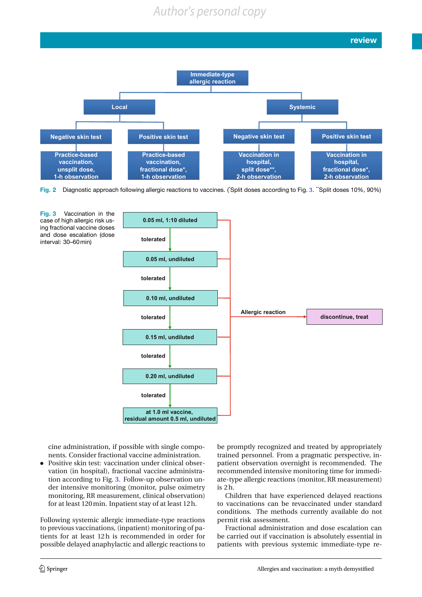# *Author's personal copy*



<span id="page-8-1"></span>Fig. 2 Diagnostic approach following allergic reactions to vaccines. (Split doses according to Fig. [3](#page-8-0). "Split doses 10%, 90%)

<span id="page-8-0"></span>

cine administration, if possible with single components. Consider fractional vaccine administration.

Positive skin test: vaccination under clinical observation (in hospital), fractional vaccine administration according to Fig. [3.](#page-8-0) Follow-up observation under intensive monitoring (monitor, pulse oximetry monitoring, RR measurement, clinical observation) for at least 120min. Inpatient stay of at least 12 h.

Following systemic allergic immediate-type reactions to previous vaccinations, (inpatient) monitoring of patients for at least 12 h is recommended in order for possible delayed anaphylactic and allergic reactions to be promptly recognized and treated by appropriately trained personnel. From a pragmatic perspective, inpatient observation overnight is recommended. The recommended intensive monitoring time for immediate-type allergic reactions (monitor, RR measurement)  $i$ s 2 $h$ 

Children that have experienced delayed reactions to vaccinations can be revaccinated under standard conditions. The methods currently available do not permit risk assessment.

Fractional administration and dose escalation can be carried out if vaccination is absolutely essential in patients with previous systemic immediate-type re-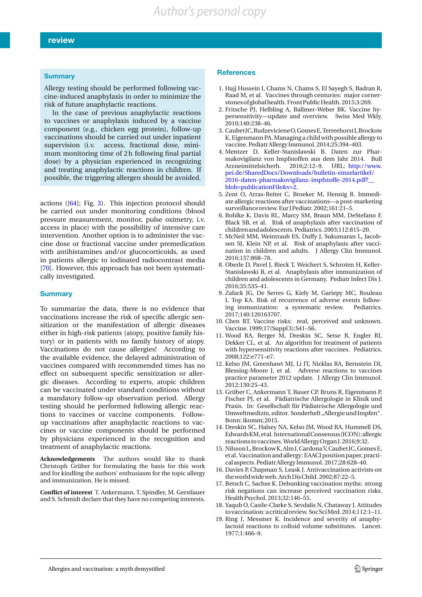#### **Summary**

Allergy testing should be performed following vaccine-induced anaphylaxis in order to minimize the risk of future anaphylactic reactions.

In the case of previous anaphylactic reactions to vaccines or anaphylaxis induced by a vaccine component (e.g., chicken egg protein), follow-up vaccinations should be carried out under inpatient supervision (i.v. access, fractional dose, minimum monitoring time of 2h following final partial dose) by a physician experienced in recognizing and treating anaphylactic reactions in children. If possible, the triggering allergen should be avoided.

actions ([\[64\]](#page-11-5); Fig. [3\)](#page-8-0). This injection protocol should be carried out under monitoring conditions (blood pressure measurement, monitor, pulse oximetry, i.v. access in place) with the possibility of intensive care intervention. Another option is to administer the vaccine dose or fractional vaccine under premedication with antihistamines and/or glucocorticoids, as used in patients allergic to iodinated radiocontrast media [\[70\]](#page-11-8). However, this approach has not been systematically investigated.

#### **Summary**

To summarize the data, there is no evidence that vaccinations increase the risk of specific allergic sensitization or the manifestation of allergic diseases either in high-risk patients (atopy, positive family history) or in patients with no family history of atopy. Vaccinations do not cause allergies! According to the available evidence, the delayed administration of vaccines compared with recommended times has no effect on subsequent specific sensitization or allergic diseases. According to experts, atopic children can be vaccinated under standard conditions without a mandatory follow-up observation period. Allergy testing should be performed following allergic reactions to vaccines or vaccine components. Followup vaccinations after anaphylactic reactions to vaccines or vaccine components should be performed by physicians experienced in the recognition and treatment of anaphylactic reactions.

**Acknowledgements** The authors would like to thank Christoph Grüber for formulating the basis for this work and for kindling the authors' enthusiasm for the topic allergy and immunization. He is missed.

**Conflict of interest** T. Ankermann, T. Spindler, M. Gerstlauer and S. Schmidt declare that they have no competing interests.

#### <span id="page-9-0"></span>**References**

- 1. Hajj Hussein I, Chams N, Chams S, El Sayegh S, Badran R, Raad M, et al. Vaccines through centuries: major cornerstones of global health. Front Public Health. 2015;3:269.
- <span id="page-9-1"></span>2. Fritsche PJ, Helbling A, Ballmer-Weber BK. Vaccine hypersensitivity—update and overview. Swiss Med Wkly. 2010;140:238–46.
- <span id="page-9-2"></span>3. CaubetJC,RudzevicieneO,GomesE,TerreehorstI,Brockow K, Eigenmann PA. Managing a child with possible allergy to vaccine. PediatrAllergy Immunol. 2014;25:394–403.
- <span id="page-9-3"></span>4. Mentzer D, Keller-Stanislawski B. Daten zur Pharmakovigilanz von Impfstoffen aus dem Jahr 2014. Bull Arzneimittelsicherh. 2016;2:12–9. URL: [http://www.](http://www.pei.de/SharedDocs/Downloads/bulletin-einzelartikel/2016-daten-pharmakovigilanz-impfstoffe-2014.pdf?__blob=publicationFile&v=2) [pei.de/SharedDocs/Downloads/bulletin-einzelartikel/](http://www.pei.de/SharedDocs/Downloads/bulletin-einzelartikel/2016-daten-pharmakovigilanz-impfstoffe-2014.pdf?__blob=publicationFile&v=2) [2016-daten-pharmakovigilanz-impfstoffe-2014.pdf?\\_\\_](http://www.pei.de/SharedDocs/Downloads/bulletin-einzelartikel/2016-daten-pharmakovigilanz-impfstoffe-2014.pdf?__blob=publicationFile&v=2) [blob=publicationFile&v=2.](http://www.pei.de/SharedDocs/Downloads/bulletin-einzelartikel/2016-daten-pharmakovigilanz-impfstoffe-2014.pdf?__blob=publicationFile&v=2)
- <span id="page-9-4"></span>5. Zent O, Arras-Reiter C, Broeker M, Hennig R. Immediate allergic reactions after vaccinations—a post-marketing surveillance review. Eur JPediatr. 2002;161:21–5.
- 6. Bohlke K, Davis RL, Marcy SM, Braun MM, DeStefano F, Black SB, et al. Risk of anaphylaxis after vaccination of children and adolescents. Pediatrics. 2003;112:815–20.
- 7. McNeil MM, Weintraub ES, Duffy J, Sukumaran L, Jacobsen SJ, Klein NP, et al. Risk of anaphylaxis after vaccination in children and adults. J Allergy Clin Immunol. 2016;137:868–78.
- <span id="page-9-5"></span>8. Oberle D, Pavel J, Rieck T, Weichert S, Schroten H, Keller-Stanislawski B, et al. Anaphylaxis after immunization of children and adolescents in Germany. Pediatr Infect Dis J. 2016;35:535–41.
- <span id="page-9-6"></span>9. Zafack JG, De Serres G, Kiely M, Gariepy MC, Rouleau I, Top KA. Risk of recurrence of adverse events following immunization: a systematic review. Pediatrics. 2017;140:120163707.
- <span id="page-9-8"></span><span id="page-9-7"></span>10. Chen RT. Vaccine risks: real, perceived and unknown. Vaccine. 1999;17(Suppl 3): S41-S6.
- 11. Wood RA, Berger M, Dreskin SC, Setse R, Engler RJ, Dekker CL, et al. An algorithm for treatment of patients with hypersensitivity reactions after vaccines. Pediatrics. 2008;122:e771–e7.
- <span id="page-9-14"></span>12. Kelso JM, Greenhawt MJ, Li JT, Nicklas RA, Bernstein DI, Blessing-Moore J, et al. Adverse reactions to vaccines practice parameter 2012 update. J Allergy Clin Immunol. 2012;130:25–43.
- <span id="page-9-13"></span>13. Grüber C, Ankermann T, Bauer CP, Bruns R, Eigenmann P, Fischer PJ, et al. Pädiatrische Allergologie in Klinik und Praxis. In: Gesellschaft für Pädiatrische Allergologie und Umweltmedizin, editor. Sonderheft "Allergie und Impfen". Bonn: ikomm; 2015.
- 14. Dreskin SC, Halsey NA, Kelso JM, Wood RA, Hummell DS, EdwardsKM,etal. InternationalConsensus(ICON):allergic reactions to vaccines. WorldAllergyOrgan J. 2016;9:32.
- <span id="page-9-9"></span>15. Nilsson L, Brockow K, Alm J, Cardona V, Caubet JC, Gomes E, et al. Vaccination and allergy: EAACI position paper, practical aspects. PediatrAllergy Immunol. 2017;28:628–40.
- <span id="page-9-10"></span>16. Davies P, Chapman S, Leask J. Antivaccination activists on theworldwideweb. ArchDisChild. 2002;87:22–5.
- 17. Betsch C, Sachse K. Debunking vaccination myths: strong risk negations can increase perceived vaccination risks. HealthPsychol. 2013;32:146–55.
- <span id="page-9-11"></span>18. Yaqub O, Castle-Clarke S, Sevdalis N, Chataway J. Attitudes tovaccination: acriticalreview. SocSciMed. 2014;112:1–11.
- <span id="page-9-12"></span>19. Ring J, Messmer K. Incidence and severity of anaphylactoid reactions to colloid volume substitutes. Lancet. 1977;1:466–9.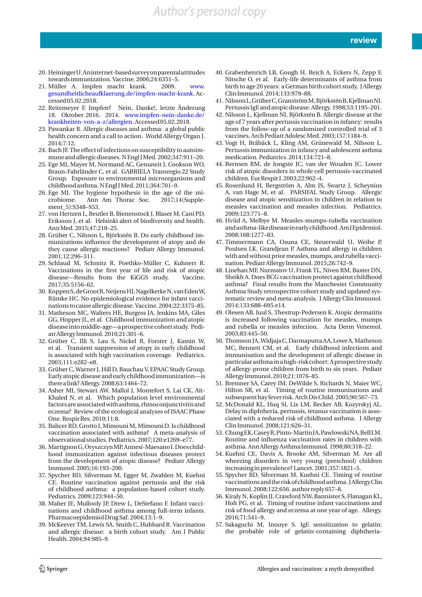# *Author's personal copy*

- <span id="page-10-1"></span><span id="page-10-0"></span>20. HeiningerU.Aninternet-basedsurveyonparentalattitudes towardsimmunization. Vaccine. 2006;24:6351–5.
- 21. Müller A. Impfen macht krank. 2009. [www.](http://www.gesundheitlicheaufklaerung.de/impfen-macht-krank) [gesundheitlicheaufklaerung.de/impfen-macht-krank.](http://www.gesundheitlicheaufklaerung.de/impfen-macht-krank) Accessed 05.02.2018.
- <span id="page-10-2"></span>22. Reitemeyer F. Impfen? Nein, Danke!, letzte Änderung 18. Oktober 2016. 2014. [www.impfen-nein-danke.de/](http://www.impfen-nein-danke.de/krankheiten-von-a-z/allergien) [krankheiten-von-a-z/allergien.](http://www.impfen-nein-danke.de/krankheiten-von-a-z/allergien) Accessed 05.02.2018.
- <span id="page-10-3"></span>23. Pawankar R. Allergic diseases and asthma: a global public health concern and a call to action. World Allergy Organ J. 2014;7:12.
- <span id="page-10-4"></span>24. Bach JF. The effect of infections on susceptibility to autoimmune and allergicdiseases. NEngl JMed. 2002;347:911–20.
- 25. Ege MJ, Mayer M, Normand AC, Genuneit J, Cookson WO, Braun-Fahrländer C, et al. GABRIELA Transregio 22 Study Group. Exposure to environmental microorganisms and childhood asthma. NEngl J Med. 2011;364:701-9.
- 26. Ege MJ. The hygiene hypothesis in the age of the microbiome. Ann Am Thorac Soc. 2017;14(Supplement\_5):S348–S53.
- <span id="page-10-5"></span>27. von Hertzen L, Beutler B, Bienenstock J, Blaser M, Cani PD, Eriksson J, et al. Helsinki alert of biodiversity and health. AnnMed. 2015;47:218–25.
- <span id="page-10-6"></span>28. Grüber C, Nilsson L, Björkstén B. Do early childhood immunizations influence the development of atopy and do they cause allergic reactions? Pediatr Allergy Immunol. 2001;12:296–311.
- <span id="page-10-7"></span>29. Schlaud M, Schmitz R, Poethko-Müller C, Kuhnert R. Vaccinations in the first year of life and risk of atopic disease—Results from the KiGGS study. Vaccine. 2017;35:5156–62.
- 30. KoppenS,deGrootR,NeijensHJ,NagelkerkeN, vanEdenW, Rümke HC. No epidemiological evidence for infant vaccinations tocause allergicdisease. Vaccine. 2004;22:3375–85.
- 31. Matheson MC, Walters HE, Burgess JA, Jenkins MA, Giles GG, Hopper JL, et al. Childhood immunization and atopic diseaseintomiddle-age—a prospectivecohort study. PediatrAllergy Immunol. 2010;21:301–6.
- <span id="page-10-10"></span>32. Grüber C, Illi S, Lau S, Nickel R, Forster J, Kamin W, et al. Transient suppression of atopy in early childhood is associated with high vaccination coverage. Pediatrics. 2003;111:e282–e8.
- <span id="page-10-9"></span>33. Grüber C, Warner J, Hill D, Bauchau V, EPAAC Study Group. Early atopic disease and early childhoodimmunization—is there alink? Allergy. 2008;63:1464–72.
- <span id="page-10-12"></span>34. Asher MI, Stewart AW, Mallol J, Montefort S, Lai CK, Aït-Khaled N, et al. Which population level environmental factors are associatedwith asthma, rhinoconjunctivitis and eczema? Review of the ecological analyses of ISAAC Phase One. RespirRes. 2010;11:8.
- <span id="page-10-21"></span>35. Balicer RD, Grotto I, Mimouni M, Mimouni D. Is childhood vaccination associated with asthma? A meta-analysis of observational studies. Pediatrics. 2007;120:e1269–e77.
- 36. MartignonG,OryszczynMP,Annesi-Maesano I.Doeschildhood immunization against infectious diseases protect from the development of atopic disease? Pediatr Allergy Immunol. 2005;16:193–200.
- <span id="page-10-16"></span>37. Spycher BD, Silverman M, Egger M, Zwahlen M, Kuehni CE. Routine vaccination against pertussis and the risk of childhood asthma: a population-based cohort study. Pediatrics. 2009;123:944–50.
- 38. Maher JE, Mullooly JP, Drew L, DeStefano F. Infant vaccinations and childhood asthma among full-term infants. PharmacoepidemiolDrug Saf. 2004;13:1–9.
- <span id="page-10-8"></span>39. McKeever TM, Lewis SA, Smith C, Hubbard R. Vaccination and allergic disease: a birth cohort study. Am J Public Health. 2004;94:985–9.
- <span id="page-10-11"></span>40. Grabenhenrich LB, Gough H, Reich A, Eckers N, Zepp F, Nitsche O, et al. Early-life determinants of asthma from birth to age 20 years: a German birth cohort study. J Allergy Clin Immunol. 2014;133:979–88.
- <span id="page-10-14"></span><span id="page-10-13"></span>41. NilssonL,GrüberC,GranströmM,BjörksténB,KjellmanNI. Pertussis IgE and atopicdisease. Allergy. 1998;53:1195–201.
- 42. Nilsson L, Kjellman NI, Björkstén B. Allergic disease at the age of 7 years after pertussis vaccination in infancy: results from the follow-up of a randomized controlled trial of 3 vaccines. ArchPediatrAdolescMed. 2003;157:1184–9.
- <span id="page-10-15"></span>43. Vogt H, Bråbäck L, Kling AM, Grünewald M, Nilsson L. Pertussis immunization in infancy and adolescent asthma medication. Pediatrics. 2014;134:721–8.
- <span id="page-10-17"></span>44. Bernsen RM, de Jongste JC, van der Wouden JC. Lower risk of atopic disorders in whole cell pertussis-vaccinated children. Eur Respir J. 2003;22:962-4.
- <span id="page-10-18"></span>45. Rosenlund H, Bergström A, Alm JS, Swartz J, Scheynius A, van Hage M, et al. PARSIFAL Study Group. Allergic disease and atopic sensitization in children in relation to measles vaccination and measles infection. Pediatrics. 2009;123:771–8.
- <span id="page-10-19"></span>46. Hviid A, Melbye M. Measles-mumps-rubella vaccination andasthma-likediseaseinearlychildhood. AmJEpidemiol. 2008;168:1277–83.
- <span id="page-10-20"></span>47. Timmermann CA, Osuna CE, Steuerwald U, Weihe P, Poulsen LK, Grandjean P. Asthma and allergy in children with and without prior measles, mumps, and rubella vaccination. PediatrAllergy Immunol. 2015;26:742–9.
- <span id="page-10-22"></span>48. Linehan MF, Nurmatov U, Frank TL, Niven RM, Baxter DN, Sheikh A. Does BCG vaccination protect against childhood asthma? Final results from the Manchester Community Asthma Study retrospective cohort study and updated systematic review and meta-analysis. J Allergy Clin Immunol. 2014;133:688–695.e14.
- <span id="page-10-23"></span>49. Olesen AB, Juul S, Thestrup-Pedersen K. Atopic dermatitis is increased following vaccination for measles, mumps and rubella or measles infection. Acta Derm Venereol. 2003;83:445–50.
- <span id="page-10-24"></span>50. Thomson JA, Widjaja C, Darmaputra AA, Lowe A, Matheson MC, Bennett CM, et al. Early childhood infections and immunisation and the development of allergic disease in particular asthmain ahigh-riskcohort: Aprospectivestudy of allergy-prone children from birth to six years. Pediatr Allergy Immunol. 2010;21:1076–85.
- <span id="page-10-25"></span>51. Bremner SA, Carey IM, DeWilde S, Richards N, Maier WC, Hilton SR, et al. Timing of routine immunisations and subsequenthay fever risk. ArchDisChild. 2005;90:567–73.
- <span id="page-10-26"></span>52. McDonald KL, Huq SI, Lix LM, Becker AB, Kozyrskyj AL. Delay in diphtheria, pertussis, tetanus vaccination is associated with a reduced risk of childhood asthma. J Allergy Clin Immunol. 2008;121:626–31.
- <span id="page-10-27"></span>53. ChungEK,CaseyR,Pinto-MartinJA,PawlowskiNA,BellLM. Routine and influenza vaccination rates in children with asthma. AnnAllergyAsthma Immunol. 1998;80:318–22.
- <span id="page-10-28"></span>54. Kuehni CE, Davis A, Brooke AM, Silverman M. Are all wheezing disorders in very young (preschool) children increasinginprevalence? Lancet. 2001;357:1821–5.
- <span id="page-10-29"></span>55. Spycher BD, Silverman M, Kuehni CE. Timing of routine vaccinationsand theriskofchildhoodasthma. JAllergyClin Immunol. 2008;122:656. author reply 657–8.
- <span id="page-10-30"></span>56. Kiraly N, Koplin JJ, Crawford NW, Bannister S, Flanagan KL, Holt PG, et al. Timing of routine infant vaccinations and risk of food allergy and eczema at one year of age. Allergy. 2016;71:541–9.
- <span id="page-10-31"></span>57. Sakaguchi M, Inouye S. IgE sensitization to gelatin: the probable role of gelatin-containing diphtheria-